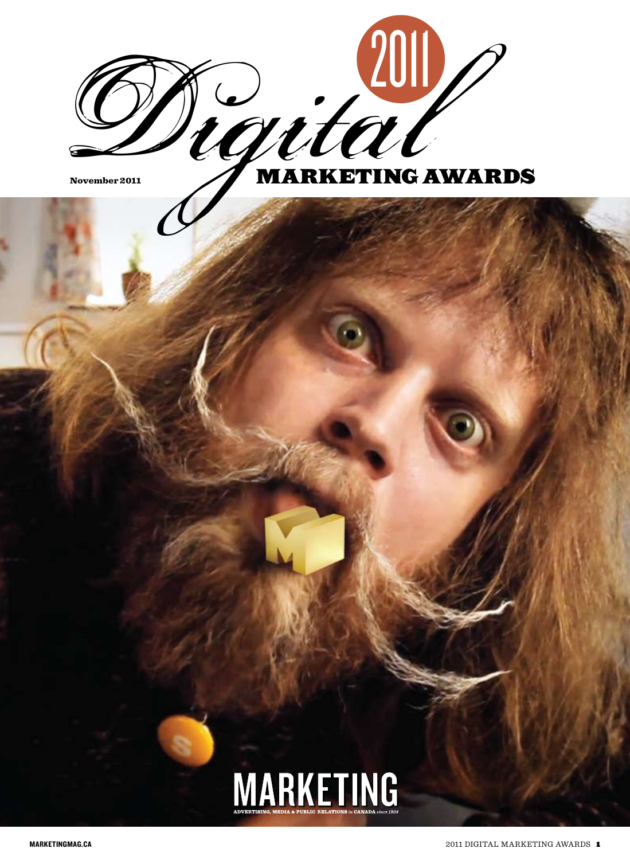

# MARKETING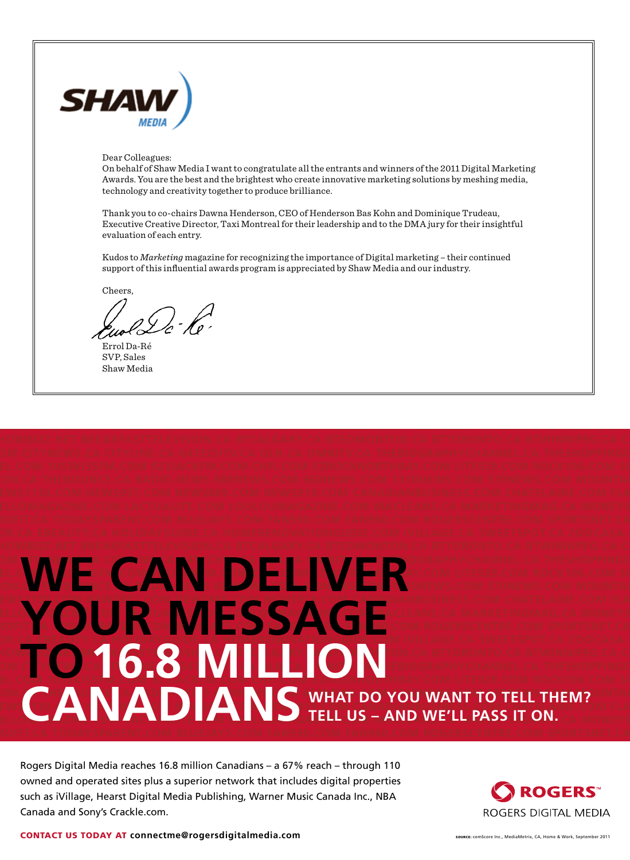

#### Dear Colleagues:

On behalf of Shaw Media I want to congratulate all the entrants and winners of the 2011 Digital Marketing Awards. You are the best and the brightest who create innovative marketing solutions by meshing media, technology and creativity together to produce brilliance.

Thank you to co-chairs Dawna Henderson, CEO of Henderson Bas Kohn and Dominique Trudeau, Executive Creative Director, Taxi Montreal for their leadership and to the DMA jury for their insightful evaluation of each entry.

Kudos to *Marketing* magazine for recognizing the importance of Digital marketing – their continued support of this influential awards program is appreciated by Shaw Media and our industry.

**TOR.CA EBEAUTY.CA HOLIDAYGUIDE.CA HOMERENOVATIONGUIDE.COM IVILLAGE.CA SWEETSPOT.CA ZOOCASA.CO**

Cheers,

2 G ) - Ko

Errol Da-Ré SVP, Sales Shaw Media

#### OM **CITY WE A CITY NIMA CITY OF A CITY OF A CITY CALCA OMNITUDE OF A CITY CHANNEL.CA THESHOPPINGC EL.COM 1058KI COM AVENTAL IMA 103 JACKFM.COM ETROLIA LITE929.COM ROCK106.COM SONI** ON.C<mark>A TION CERCE CAR RADIO-NEWS 680000 COM CARDIO-NEWS COM 570NEWS.COM MOUNTAI</mark> **NEWS1130.COM NEWS957.COM NEWS889.COM NEWS919.COM CANADIANBUSINESS.COM CHATELAINE.COM FLARE.C HELOMAGAZINE.COM LA COM LA COM LA CELEANS.CA MARKETINGMAG.CA MONEYS** ROFIT. A TODAYSPARENT **AREA TODAYSPARENT.CA TODAYSPARENT.CA 5FA TOR.CA EBEAUTY.CA HOLIDAYGUIDE.CA HOMERENOVATIONGUIDE.COM IVILLAGE.CA SWEETSPOT.CA ZOOCASA.COM SHOWBIZZ.NET BREAKFAST CONSUMING A BREAKFAST CONSUMING A BTWINNIPEG.CA CITYTING A BTWINNIPEG.CA CITYTING A BTWINNIPEG.CA CITYTU.** OM COM <mark>COM CALITY OVER 201</mark> MET LA CITY OF LA CHANNEL CA THESHOPPINGC NEWS AND THE STRIP OF THE STRIP OF THE STRIP OF THE TON COM COM COM COM COM COM COM SONIC COM COM SONIC COM SONIC COM SONIC COM SONIC COM SONIC COM SONIC COM SONIC COM SONIC COM SONIC COM SONIC COM SONIC COM SONIC COM SONI **THEMPLICE.CA RADIO CARRADIO - NEWS 680NEWS.COM 570 NEWS 680NEWS.COM 660 NEWS.COM 570 NEWS.COM 570 NEWS.COM MOUNTAINFORMATIC TELL THEMPLICE. NEWSIS67 ANNUAL REWSISING NEWSFILM NEWSFILM CANADIAN CANADIAN CANADIAN CANADIAN CANADIAN CANADIAN CANADIAN CAN EM CANADIANS WHAT DO YOU WANT TO TELL THEM?** WE CAN DELIVER **YOUR MESSAGE TELL US – AND WE'LL PASS IT ON.**

Rogers Digital Media reaches 16.8 million Canadians – a 67% reach – through 110 owned and operated sites plus a superior network that includes digital properties such as iVillage, Hearst Digital Media Publishing, Warner Music Canada Inc., NBA Canada and Sony's Crackle.com.



CONTACT US TODAY AT connectme@rogersdigitalmedia.com SOURCE: CONTACT US SOURCE: CONTACT US AND FOR A SEPTEMBER 2011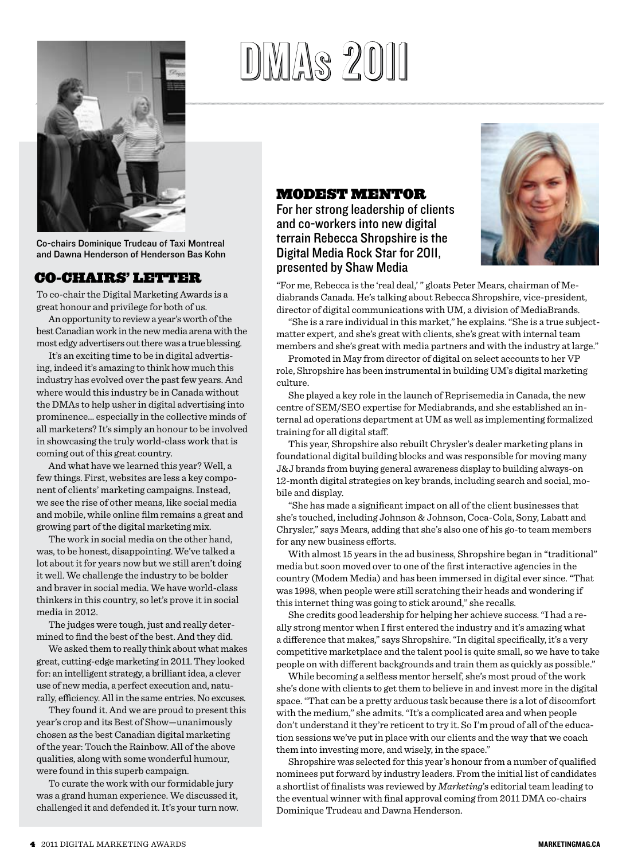

Co-chairs Dominique Trudeau of Taxi Montreal and Dawna Henderson of Henderson Bas Kohn

# Co-chairs' letter

To co-chair the Digital Marketing Awards is a great honour and privilege for both of us.

An opportunity to review a year's worth of the best Canadian work in the new media arena with the most edgy advertisers out there was a true blessing.

It's an exciting time to be in digital advertising, indeed it's amazing to think how much this industry has evolved over the past few years. And where would this industry be in Canada without the DMAs to help usher in digital advertising into prominence… especially in the collective minds of all marketers? It's simply an honour to be involved in showcasing the truly world-class work that is coming out of this great country.

And what have we learned this year? Well, a few things. First, websites are less a key component of clients' marketing campaigns. Instead, we see the rise of other means, like social media and mobile, while online film remains a great and growing part of the digital marketing mix.

The work in social media on the other hand, was, to be honest, disappointing. We've talked a lot about it for years now but we still aren't doing it well. We challenge the industry to be bolder and braver in social media. We have world-class thinkers in this country, so let's prove it in social media in 2012.

The judges were tough, just and really determined to find the best of the best. And they did.

We asked them to really think about what makes great, cutting-edge marketing in 2011. They looked for: an intelligent strategy, a brilliant idea, a clever use of new media, a perfect execution and, naturally, efficiency. All in the same entries. No excuses.

They found it. And we are proud to present this year's crop and its Best of Show—unanimously chosen as the best Canadian digital marketing of the year: Touch the Rainbow. All of the above qualities, along with some wonderful humour, were found in this superb campaign.

To curate the work with our formidable jury was a grand human experience. We discussed it, challenged it and defended it. It's your turn now.

# DIMAS 2011

# Modest mentor

For her strong leadership of clients and co-workers into new digital terrain Rebecca Shropshire is the Digital Media Rock Star for 2011, presented by Shaw Media



"For me, Rebecca is the 'real deal,' " gloats Peter Mears, chairman of Mediabrands Canada. He's talking about Rebecca Shropshire, vice-president, director of digital communications with UM, a division of MediaBrands.

"She is a rare individual in this market," he explains. "She is a true subjectmatter expert, and she's great with clients, she's great with internal team members and she's great with media partners and with the industry at large."

Promoted in May from director of digital on select accounts to her VP role, Shropshire has been instrumental in building UM's digital marketing culture.

She played a key role in the launch of Reprisemedia in Canada, the new centre of SEM/SEO expertise for Mediabrands, and she established an internal ad operations department at UM as well as implementing formalized training for all digital staff.

This year, Shropshire also rebuilt Chrysler's dealer marketing plans in foundational digital building blocks and was responsible for moving many J&J brands from buying general awareness display to building always-on 12-month digital strategies on key brands, including search and social, mobile and display.

"She has made a significant impact on all of the client businesses that she's touched, including Johnson & Johnson, Coca-Cola, Sony, Labatt and Chrysler," says Mears, adding that she's also one of his go-to team members for any new business efforts.

With almost 15 years in the ad business, Shropshire began in "traditional" media but soon moved over to one of the first interactive agencies in the country (Modem Media) and has been immersed in digital ever since. "That was 1998, when people were still scratching their heads and wondering if this internet thing was going to stick around," she recalls.

She credits good leadership for helping her achieve success. "I had a really strong mentor when I first entered the industry and it's amazing what a difference that makes," says Shropshire. "In digital specifically, it's a very competitive marketplace and the talent pool is quite small, so we have to take people on with different backgrounds and train them as quickly as possible."

While becoming a selfless mentor herself, she's most proud of the work she's done with clients to get them to believe in and invest more in the digital space. "That can be a pretty arduous task because there is a lot of discomfort with the medium," she admits. "It's a complicated area and when people don't understand it they're reticent to try it. So I'm proud of all of the education sessions we've put in place with our clients and the way that we coach them into investing more, and wisely, in the space."

Shropshire was selected for this year's honour from a number of qualified nominees put forward by industry leaders. From the initial list of candidates a shortlist of finalists was reviewed by *Marketing*'s editorial team leading to the eventual winner with final approval coming from 2011 DMA co-chairs Dominique Trudeau and Dawna Henderson.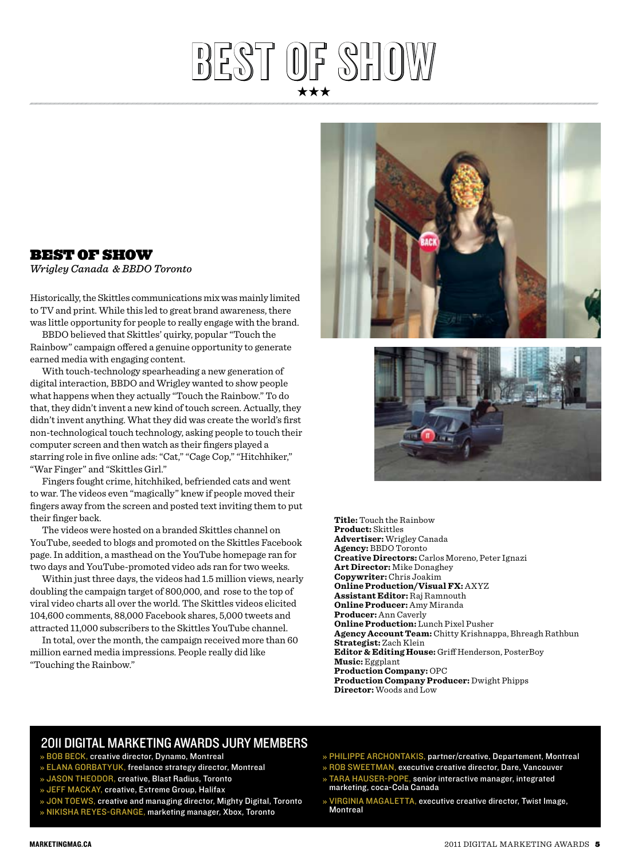# best of show best of show

# BEST OF SHOW

*Wrigley Canada & BBDO Toronto*

Historically, the Skittles communications mix was mainly limited to TV and print. While this led to great brand awareness, there was little opportunity for people to really engage with the brand.

BBDO believed that Skittles' quirky, popular "Touch the Rainbow" campaign offered a genuine opportunity to generate earned media with engaging content.

With touch-technology spearheading a new generation of digital interaction, BBDO and Wrigley wanted to show people what happens when they actually "Touch the Rainbow." To do that, they didn't invent a new kind of touch screen. Actually, they didn't invent anything. What they did was create the world's first non-technological touch technology, asking people to touch their computer screen and then watch as their fingers played a starring role in five online ads: "Cat," "Cage Cop," "Hitchhiker," "War Finger" and "Skittles Girl."

Fingers fought crime, hitchhiked, befriended cats and went to war. The videos even "magically" knew if people moved their fingers away from the screen and posted text inviting them to put their finger back.

The videos were hosted on a branded Skittles channel on YouTube, seeded to blogs and promoted on the Skittles Facebook page. In addition, a masthead on the YouTube homepage ran for two days and YouTube-promoted video ads ran for two weeks.

Within just three days, the videos had 1.5 million views, nearly doubling the campaign target of 800,000, and rose to the top of viral video charts all over the world. The Skittles videos elicited 104,600 comments, 88,000 Facebook shares, 5,000 tweets and attracted 11,000 subscribers to the Skittles YouTube channel.

In total, over the month, the campaign received more than 60 million earned media impressions. People really did like "Touching the Rainbow."





**Title:** Touch the Rainbow **Product:** Skittles **Advertiser:** Wrigley Canada **Agency:** BBDO Toronto **Creative Directors:** Carlos Moreno, Peter Ignazi **Art Director:** Mike Donaghey **Copywriter:** Chris Joakim **Online Production/Visual FX:** AXYZ **Assistant Editor:** Raj Ramnouth **Online Producer:** Amy Miranda **Producer:** Ann Caverly **Online Production:** Lunch Pixel Pusher **Agency Account Team:** Chitty Krishnappa, Bhreagh Rathbun **Strategist:** Zach Klein **Editor & Editing House:** Griff Henderson, PosterBoy **Music:** Eggplant **Production Company:** OPC **Production Company Producer:** Dwight Phipps **Director:** Woods and Low

# 2011 Digital marketing Awards jury members

- » BOB BECK, creative director, Dynamo, Montreal
- » ELANA GORBATYUK, freelance strategy director, Montreal
- » JASON THEODOR, creative, Blast Radius, Toronto
- » Jeff MacKay, creative, Extreme Group, Halifax
- » JON TOEWS, creative and managing director, Mighty Digital, Toronto » Nikisha Reyes-Grange, marketing manager, Xbox, Toronto
- » PHILIPPE ARCHONTAKIS, partner/creative, Departement, Montreal
- » ROB SWEETMAN, executive creative director, Dare, Vancouver  $\ast$  TARA HAUSER-POPE, senior interactive manager, integrated marketing, coca-Cola Canada
- VIRGINIA MAGALETTA, executive creative director, Twist Image, **Montreal**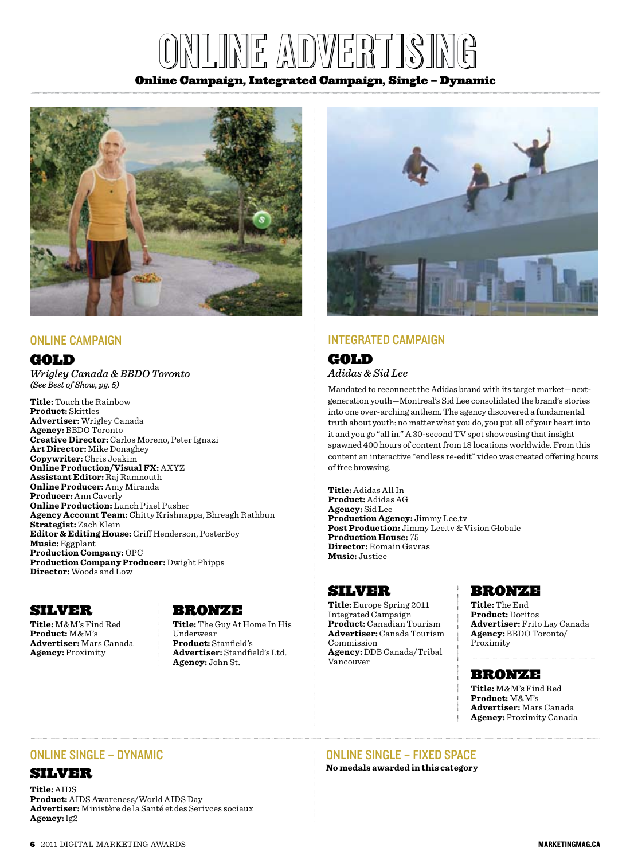# $\mathbb{Z}$ online adapt $\mathbb{Z}$

#### Online Campaign, Integrated Campaign, Single – Dynamic



#### ONLINE CAMPAIGN

#### **GOLD**

*Wrigley Canada & BBDO Toronto (See Best of Show, pg. 5)*

**Title:** Touch the Rainbow **Product:** Skittles **Advertiser:** Wrigley Canada **Agency:** BBDO Toronto **Creative Director:** Carlos Moreno, Peter Ignazi **Art Director:** Mike Donaghey **Copywriter:** Chris Joakim **Online Production/Visual FX:** AXYZ **Assistant Editor:** Raj Ramnouth **Online Producer:** Amy Miranda **Producer:** Ann Caverly **Online Production:** Lunch Pixel Pusher **Agency Account Team:** Chitty Krishnappa, Bhreagh Rathbun **Strategist:** Zach Klein **Editor & Editing House:** Griff Henderson, PosterBoy **Music:** Eggplant **Production Company:** OPC **Production Company Producer:** Dwight Phipps **Director:** Woods and Low

# Silver

**Title:** M&M's Find Red **Product:** M&M's **Advertiser:** Mars Canada **Agency:** Proximity

# Bronze

**Title:** The Guy At Home In His Underwear **Product:** Stanfield's **Advertiser:** Standfield's Ltd. **Agency:** John St.



# Integrated Campaign

# **GOLD**

*Adidas & Sid Lee*

Mandated to reconnect the Adidas brand with its target market—nextgeneration youth—Montreal's Sid Lee consolidated the brand's stories into one over-arching anthem. The agency discovered a fundamental truth about youth: no matter what you do, you put all of your heart into it and you go "all in." A 30-second TV spot showcasing that insight spawned 400 hours of content from 18 locations worldwide. From this content an interactive "endless re-edit" video was created offering hours of free browsing.

**Title:** Adidas All In **Product:** Adidas AG **Agency:** Sid Lee **Production Agency:** Jimmy Lee.tv **Post Production:** Jimmy Lee.tv & Vision Globale **Production House:** 75 **Director:** Romain Gavras **Music:** Justice

#### Silver

**Title:** Europe Spring 2011 Integrated Campaign **Product:** Canadian Tourism **Advertiser:** Canada Tourism Commission **Agency:** DDB Canada/Tribal Vancouver

# Bronze

**Title:** The End **Product:** Doritos **Advertiser:** Frito Lay Canada **Agency:** BBDO Toronto/ Proximity

#### Bronze

**Title:** M&M's Find Red **Product:** M&M's **Advertiser:** Mars Canada **Agency:** Proximity Canada

#### online Single – Dynamic

# Silver

**Title:** AIDS **Product:** AIDS Awareness/World AIDS Day **Advertiser:** Ministère de la Santé et des Serivces sociaux **Agency:** lg2

# online Single – fixed space

**No medals awarded in this category**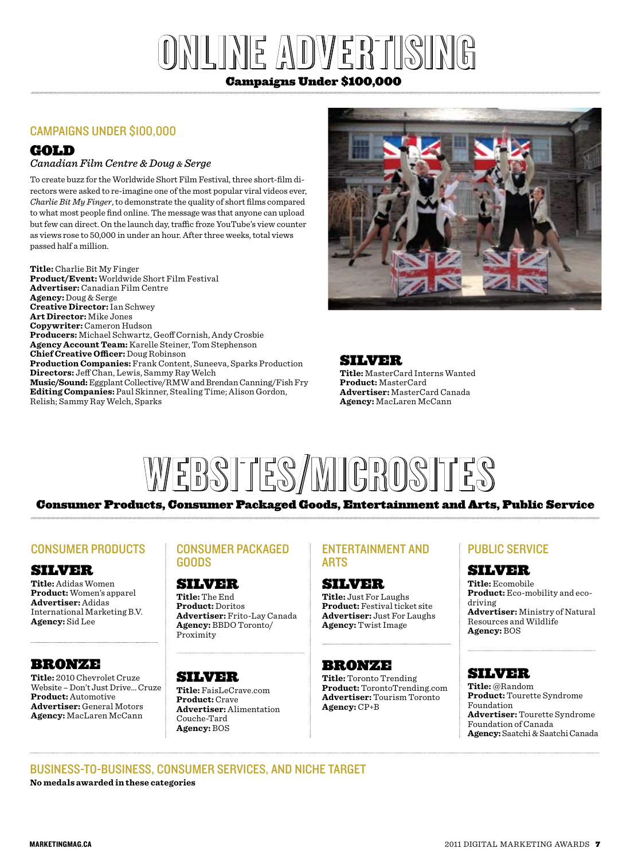# $\|X\| \leq \sqrt{N}$ d) $\|X\| \leq R$ ini $\|S\| \leq N$

# Campaigns Under \$100,000

# Campaigns under \$100,000

# Gold

#### *Canadian Film Centre & Doug & Serge*

To create buzz for the Worldwide Short Film Festival, three short-film directors were asked to re-imagine one of the most popular viral videos ever, *Charlie Bit My Finger*, to demonstrate the quality of short films compared to what most people find online. The message was that anyone can upload but few can direct. On the launch day, traffic froze YouTube's view counter as views rose to 50,000 in under an hour. After three weeks, total views passed half a million.

**Title:** Charlie Bit My Finger **Product/Event:** Worldwide Short Film Festival **Advertiser:** Canadian Film Centre **Agency:** Doug & Serge **Creative Director:** Ian Schwey **Art Director:** Mike Jones **Copywriter:** Cameron Hudson **Producers:** Michael Schwartz, Geoff Cornish, Andy Crosbie **Agency Account Team:** Karelle Steiner, Tom Stephenson **Chief Creative Officer:** Doug Robinson **Production Companies:** Frank Content, Suneeva, Sparks Production **Directors:** Jeff Chan, Lewis, Sammy Ray Welch **Music/Sound:** Eggplant Collective/RMW and Brendan Canning/Fish Fry **Editing Companies:** Paul Skinner, Stealing Time; Alison Gordon,

# SILVER

**Title:** MasterCard Interns Wanted **Product:** MasterCard **Advertiser:** MasterCard Canada **Agency:** MacLaren McCann



# Consumer Products, Consumer Packaged Goods, Entertainment and Arts, Public Service

# Consumer Products

Relish; Sammy Ray Welch, Sparks

#### Silver

**Title:** Adidas Women **Product:** Women's apparel **Advertiser:** Adidas International Marketing B.V. **Agency:** Sid Lee

# Bronze

**Title:** 2010 Chevrolet Cruze Website – Don't Just Drive… Cruze **Product:** Automotive **Advertiser:** General Motors **Agency:** MacLaren McCann

#### Consumer Packaged Goods

#### Silver

**Title:** The End **Product:** Doritos **Advertiser:** Frito-Lay Canada **Agency:** BBDO Toronto/ Proximity

# Silver

**Title:** FaisLeCrave.com **Product:** Crave **Advertiser:** Alimentation Couche-Tard **Agency:** BOS

#### Entertainment and **ARTS**

#### Silver

**Title:** Just For Laughs **Product:** Festival ticket site **Advertiser:** Just For Laughs **Agency:** Twist Image

#### Bronze

**Title:** Toronto Trending **Product:** TorontoTrending.com **Advertiser:** Tourism Toronto **Agency:** CP+B

# Public Service

# Silver

**Title:** Ecomobile **Product:** Eco-mobility and ecodriving **Advertiser:** Ministry of Natural Resources and Wildlife

**Agency:** BOS

# Silver

**Title:** @Random **Product:** Tourette Syndrome Foundation **Advertiser:** Tourette Syndrome Foundation of Canada **Agency:**Saatchi & Saatchi Canada

#### business-to-business, consumer services, and Niche target **No medals awarded in these categories**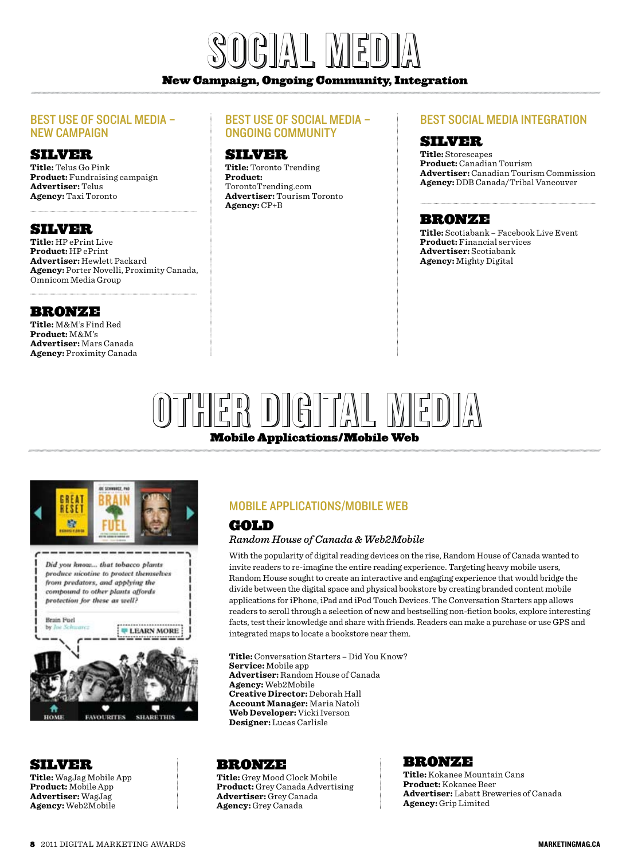

#### New Campaign, Ongoing Community, Integration

#### Best Use of Social Media – New Campaign

#### Silver

**Title:** Telus Go Pink **Product:** Fundraising campaign **Advertiser:** Telus **Agency:** Taxi Toronto

#### Silver

**Title:** HP ePrint Live **Product:** HP ePrint **Advertiser:** Hewlett Packard **Agency:** Porter Novelli, Proximity Canada, Omnicom Media Group

#### Bronze

**Title:** M&M's Find Red **Product:** M&M's **Advertiser:** Mars Canada **Agency:** Proximity Canada

#### Best Use of Social Media – Ongoing Community

# Silver

**Title:** Toronto Trending **Product:** TorontoTrending.com **Advertiser:** Tourism Toronto **Agency:** CP+B

#### Best Social Media Integration

# Silver

**Title:** Storescapes **Product:** Canadian Tourism **Advertiser:** Canadian Tourism Commission **Agency:** DDB Canada/Tribal Vancouver

#### Bronze

**Title:** Scotiabank – Facebook Live Event **Product:** Financial services **Advertiser:** Scotiabank **Agency:** Mighty Digital

# Mobile Applications/Mobile Web OTHER DIGITAL MEDI



#### **SILVER**

**Title:** WagJag Mobile App **Product:** Mobile App **Advertiser:** WagJag **Agency:** Web2Mobile

# Mobile Applications/Mobile Web

# Gold

#### *Random House of Canada & Web2Mobile*

With the popularity of digital reading devices on the rise, Random House of Canada wanted to invite readers to re-imagine the entire reading experience. Targeting heavy mobile users, Random House sought to create an interactive and engaging experience that would bridge the divide between the digital space and physical bookstore by creating branded content mobile applications for iPhone, iPad and iPod Touch Devices. The Conversation Starters app allows readers to scroll through a selection of new and bestselling non-fiction books, explore interesting facts, test their knowledge and share with friends. Readers can make a purchase or use GPS and integrated maps to locate a bookstore near them.

**Title:** Conversation Starters – Did You Know? **Service:** Mobile app **Advertiser:** Random House of Canada **Agency:** Web2Mobile **Creative Director:** Deborah Hall **Account Manager:** Maria Natoli **Web Developer:** Vicki Iverson **Designer:** Lucas Carlisle

#### Bronze

**Title:** Grey Mood Clock Mobile **Product:** Grey Canada Advertising **Advertiser:** Grey Canada **Agency:** Grey Canada

#### Bronze

**Title:** Kokanee Mountain Cans **Product:** Kokanee Beer **Advertiser:** Labatt Breweries of Canada **Agency:** Grip Limited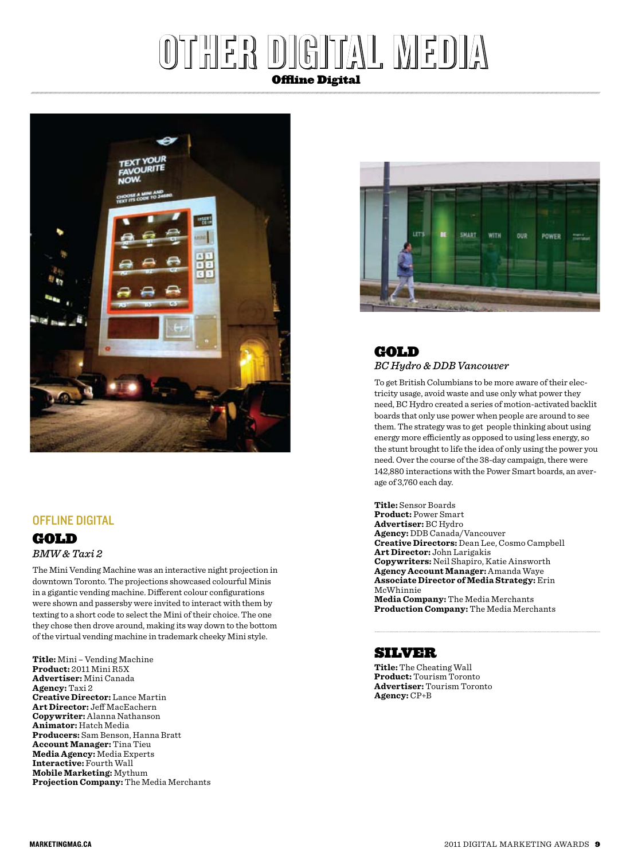# Offline Digital other designations of the late



# Offline Digital

# **GOLD** *BMW & Taxi 2*

The Mini Vending Machine was an interactive night projection in downtown Toronto. The projections showcased colourful Minis in a gigantic vending machine. Different colour configurations were shown and passersby were invited to interact with them by texting to a short code to select the Mini of their choice. The one they chose then drove around, making its way down to the bottom of the virtual vending machine in trademark cheeky Mini style.

**Title:** Mini – Vending Machine **Product:** 2011 Mini R5X **Advertiser:** Mini Canada **Agency:** Taxi 2 **Creative Director:** Lance Martin **Art Director:** Jeff MacEachern **Copywriter:** Alanna Nathanson **Animator:** Hatch Media **Producers:** Sam Benson, Hanna Bratt **Account Manager:** Tina Tieu **Media Agency:** Media Experts **Interactive:** Fourth Wall **Mobile Marketing:** Mythum **Projection Company:** The Media Merchants





To get British Columbians to be more aware of their electricity usage, avoid waste and use only what power they need, BC Hydro created a series of motion-activated backlit boards that only use power when people are around to see them. The strategy was to get people thinking about using energy more efficiently as opposed to using less energy, so the stunt brought to life the idea of only using the power you need. Over the course of the 38-day campaign, there were 142,880 interactions with the Power Smart boards, an average of 3,760 each day.

**Title:** Sensor Boards **Product:** Power Smart **Advertiser:** BC Hydro **Agency:** DDB Canada/Vancouver **Creative Directors:** Dean Lee, Cosmo Campbell **Art Director:** John Larigakis **Copywriters:** Neil Shapiro, Katie Ainsworth **Agency Account Manager:** Amanda Waye **Associate Director of Media Strategy:** Erin McWhinnie **Media Company:** The Media Merchants

**Production Company:** The Media Merchants

# Silver

**Title:** The Cheating Wall **Product:** Tourism Toronto **Advertiser:** Tourism Toronto **Agency:** CP+B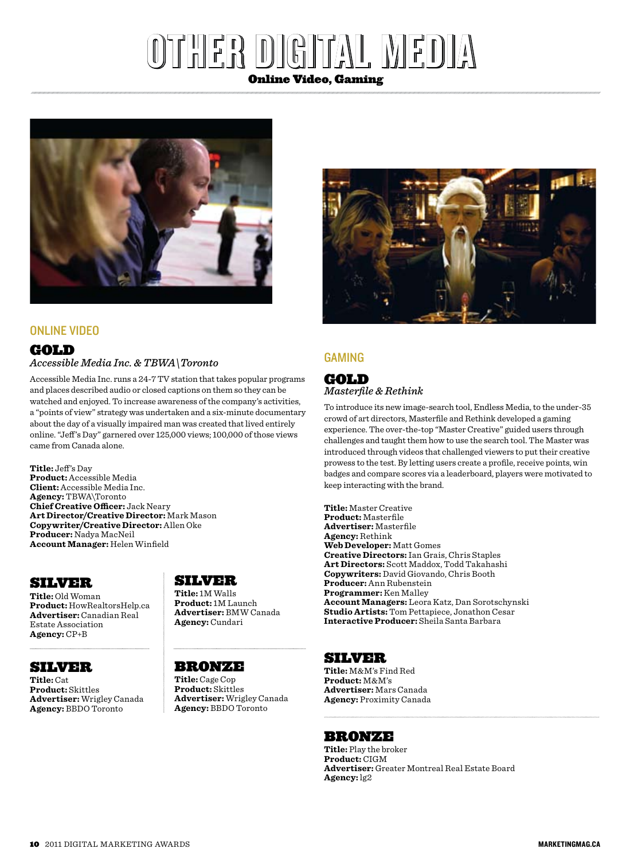# other ddigitaal mmeddiaa Online Video, Gaming



#### Online Video

#### **GOLD** *Accessible Media Inc. & TBWA\Toronto*

Accessible Media Inc. runs a 24-7 TV station that takes popular programs and places described audio or closed captions on them so they can be watched and enjoyed. To increase awareness of the company's activities, a "points of view" strategy was undertaken and a six-minute documentary about the day of a visually impaired man was created that lived entirely online. "Jeff 's Day" garnered over 125,000 views; 100,000 of those views came from Canada alone.

**Title:** Jeff's Day **Product:** Accessible Media **Client:** Accessible Media Inc. **Agency:** TBWA\Toronto **Chief Creative Officer:** Jack Neary **Art Director/Creative Director:** Mark Mason **Copywriter/Creative Director:** Allen Oke **Producer:** Nadya MacNeil **Account Manager:** Helen Winfield

# Silver

**Title:** Old Woman **Product:** HowRealtorsHelp.ca **Advertiser:** Canadian Real Estate Association **Agency:** CP+B

# Silver

**Title:** Cat **Product:** Skittles **Advertiser:** Wrigley Canada **Agency:** BBDO Toronto

# Silver

**Title:** 1M Walls **Product:** 1M Launch **Advertiser:** BMW Canada **Agency:** Cundari

# Bronze

**Title:** Cage Cop **Product:** Skittles **Advertiser:** Wrigley Canada **Agency:** BBDO Toronto



#### **GAMING**

# Gold

*Masterfile & Rethink*

To introduce its new image-search tool, Endless Media, to the under-35 crowd of art directors, Masterfile and Rethink developed a gaming experience. The over-the-top "Master Creative" guided users through challenges and taught them how to use the search tool. The Master was introduced through videos that challenged viewers to put their creative prowess to the test. By letting users create a profile, receive points, win badges and compare scores via a leaderboard, players were motivated to keep interacting with the brand.

**Title:** Master Creative **Product:** Masterfile **Advertiser:** Masterfile **Agency:** Rethink **Web Developer:** Matt Gomes **Creative Directors:** Ian Grais, Chris Staples **Art Directors:** Scott Maddox, Todd Takahashi **Copywriters:** David Giovando, Chris Booth **Producer:** Ann Rubenstein **Programmer:** Ken Malley **Account Managers:** Leora Katz, Dan Sorotschynski **Studio Artists:** Tom Pettapiece, Jonathon Cesar **Interactive Producer:** Sheila Santa Barbara

# Silver

**Title:** M&M's Find Red **Product:** M&M's **Advertiser:** Mars Canada **Agency:** Proximity Canada

# Bronze

**Title:** Play the broker **Product:** CIGM **Advertiser:** Greater Montreal Real Estate Board **Agency:** lg2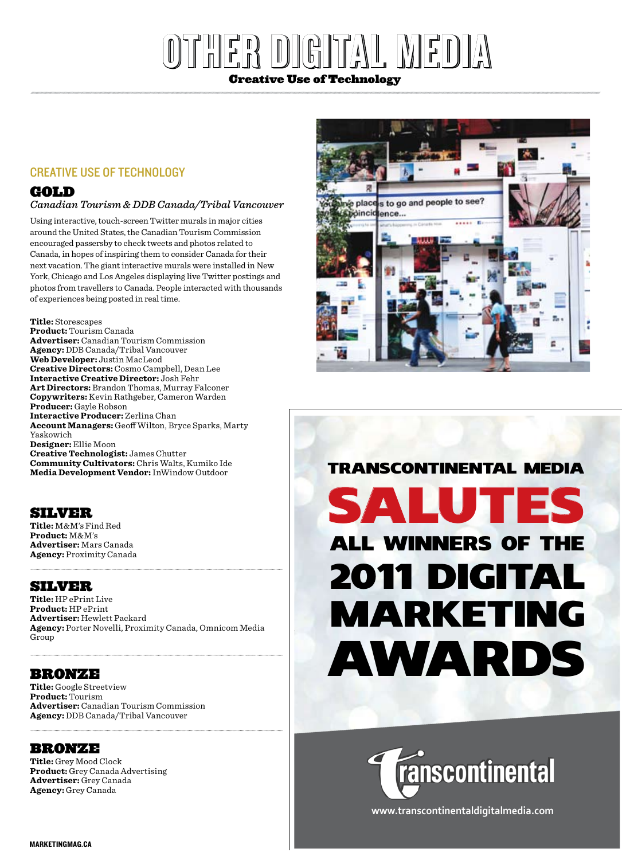# $|\Xi|$ p)  $|[\Theta]$  di $\mathcal{T}_A$   $|\Box$   $|\mathcal{W}|$   $\Xi|$ Creative Use of Technology

#### Creative Use of Technology

# **GOLD**

#### *Canadian Tourism & DDB Canada/Tribal Vancouver*

Using interactive, touch-screen Twitter murals in major cities around the United States, the Canadian Tourism Commission encouraged passersby to check tweets and photos related to Canada, in hopes of inspiring them to consider Canada for their next vacation. The giant interactive murals were installed in New York, Chicago and Los Angeles displaying live Twitter postings and photos from travellers to Canada. People interacted with thousands of experiences being posted in real time.

**Title:** Storescapes **Product:** Tourism Canada **Advertiser:** Canadian Tourism Commission **Agency:** DDB Canada/Tribal Vancouver **Web Developer:** Justin MacLeod **Creative Directors:** Cosmo Campbell, Dean Lee **Interactive Creative Director:** Josh Fehr **Art Directors:** Brandon Thomas, Murray Falconer **Copywriters:** Kevin Rathgeber, Cameron Warden **Producer:** Gayle Robson **Interactive Producer:** Zerlina Chan **Account Managers:** Geoff Wilton, Bryce Sparks, Marty Yaskowich **Designer:** Ellie Moon **Creative Technologist:** James Chutter **Community Cultivators:** Chris Walts, Kumiko Ide **Media Development Vendor:**InWindow Outdoor

# **SILVER**

**Title:** M&M's Find Red **Product:** M&M's **Advertiser:** Mars Canada **Agency:** Proximity Canada

#### Silver

**Title:** HP ePrint Live **Product:** HP ePrint **Advertiser:** Hewlett Packard **Agency:** Porter Novelli, Proximity Canada, Omnicom Media Group

# Bronze

**Title:** Google Streetview **Product:** Tourism **Advertiser:** Canadian Tourism Commission **Agency:** DDB Canada/Tribal Vancouver

#### bronze

**Title:** Grey Mood Clock **Product:** Grey Canada Advertising **Advertiser:** Grey Canada **Agency:** Grey Canada



# SALUTES TRaNSCONTINENTal MEDIa all WINNERS OF THE 2011 DIGITal MaRKETING aWaRDS



**www.transcontinentaldigitalmedia.com**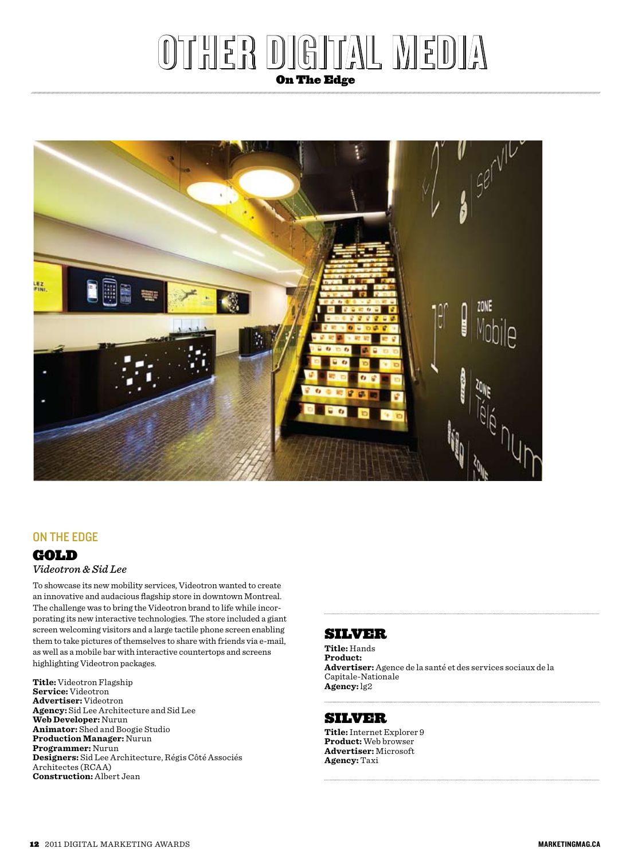# er digital me

On The Edge



# On the Edge

#### **GOLD**

#### *Videotron & Sid Lee*

To showcase its new mobility services, Videotron wanted to create an innovative and audacious flagship store in downtown Montreal. The challenge was to bring the Videotron brand to life while incorporating its new interactive technologies. The store included a giant screen welcoming visitors and a large tactile phone screen enabling them to take pictures of themselves to share with friends via e-mail, as well as a mobile bar with interactive countertops and screens highlighting Videotron packages.

**Title:** Videotron Flagship **Service:** Videotron **Advertiser:** Videotron **Agency:** Sid Lee Architecture and Sid Lee **Web Developer:** Nurun **Animator:** Shed and Boogie Studio **Production Manager:** Nurun **Programmer:** Nurun **Designers:** Sid Lee Architecture, Régis Côté Associés Architectes (RCAA) **Construction:** Albert Jean

# Silver

**Title:** Hands **Product: Advertiser:** Agence de la santé et des services sociaux de la Capitale-Nationale **Agency:** lg2

#### Silver

**Title:**Internet Explorer 9 **Product:** Web browser **Advertiser:** Microsoft **Agency:** Taxi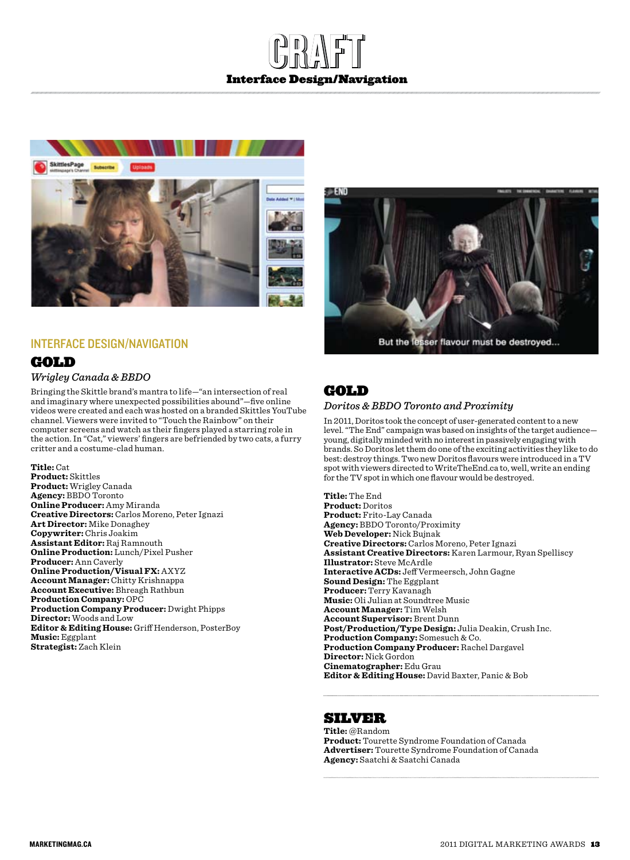# GRAFT Interface Design/Navigation



#### Interface Design/Navigation

# **GOLD** *Wrigley Canada & BBDO*

Bringing the Skittle brand's mantra to life—"an intersection of real and imaginary where unexpected possibilities abound"—five online videos were created and each was hosted on a branded Skittles YouTube channel. Viewers were invited to "Touch the Rainbow" on their computer screens and watch as their fingers played a starring role in the action. In "Cat," viewers' fingers are befriended by two cats, a furry critter and a costume-clad human.

**Title:** Cat **Product:** Skittles **Product:** Wrigley Canada **Agency:** BBDO Toronto **Online Producer:** Amy Miranda **Creative Directors:** Carlos Moreno, Peter Ignazi **Art Director:** Mike Donaghey **Copywriter:** Chris Joakim **Assistant Editor:** Raj Ramnouth **Online Production:** Lunch/Pixel Pusher **Producer:** Ann Caverly **Online Production/Visual FX:** AXYZ **Account Manager:** Chitty Krishnappa **Account Executive:** Bhreagh Rathbun **Production Company:** OPC **Production Company Producer:** Dwight Phipps **Director:** Woods and Low **Editor & Editing House:** Griff Henderson, PosterBoy **Music:** Eggplant **Strategist:** Zach Klein



# GOLD

#### *Doritos & BBDO Toronto and Proximity*

In 2011, Doritos took the concept of user-generated content to a new level. "The End" campaign was based on insights of the target audience young, digitally minded with no interest in passively engaging with brands. So Doritos let them do one of the exciting activities they like to do best: destroy things. Two new Doritos flavours were introduced in a TV spot with viewers directed to WriteTheEnd.ca to, well, write an ending for the TV spot in which one flavour would be destroyed.

**Title:** The End **Product:** Doritos **Product:** Frito-Lay Canada **Agency:** BBDO Toronto/Proximity **Web Developer:** Nick Bujnak **Creative Directors:** Carlos Moreno, Peter Ignazi **Assistant Creative Directors:** Karen Larmour, Ryan Spelliscy **Illustrator:** Steve McArdle **Interactive ACDs:** Jeff Vermeersch, John Gagne **Sound Design:** The Eggplant **Producer:** Terry Kavanagh **Music:** Oli Julian at Soundtree Music **Account Manager:** Tim Welsh **Account Supervisor:** Brent Dunn **Post/Production/Type Design:** Julia Deakin, Crush Inc. **Production Company:** Somesuch & Co. **Production Company Producer:** Rachel Dargavel **Director:** Nick Gordon **Cinematographer:** Edu Grau **Editor & Editing House:** David Baxter, Panic & Bob

Silver

**Title:** @Random **Product:** Tourette Syndrome Foundation of Canada **Advertiser:** Tourette Syndrome Foundation of Canada **Agency:** Saatchi & Saatchi Canada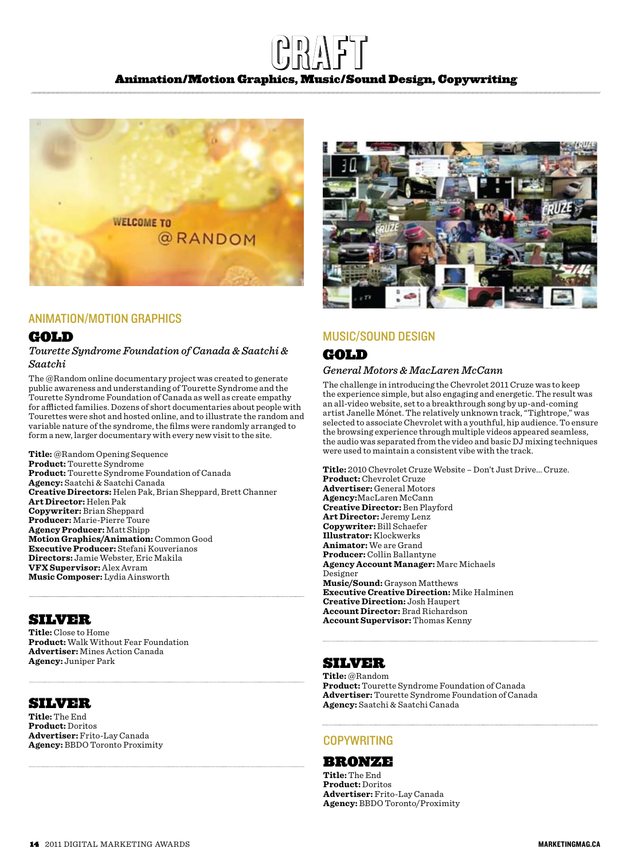# CRAFT Animation/Motion Graphics, Music/Sound Design, Copywriting



#### Animation/Motion Graphics

#### **GOLD**

#### *Tourette Syndrome Foundation of Canada & Saatchi & Saatchi*

The @Random online documentary project was created to generate public awareness and understanding of Tourette Syndrome and the Tourette Syndrome Foundation of Canada as well as create empathy for afflicted families. Dozens of short documentaries about people with Tourettes were shot and hosted online, and to illustrate the random and variable nature of the syndrome, the films were randomly arranged to form a new, larger documentary with every new visit to the site.

**Title:** @Random Opening Sequence **Product:** Tourette Syndrome **Product:** Tourette Syndrome Foundation of Canada **Agency:** Saatchi & Saatchi Canada **Creative Directors:** Helen Pak, Brian Sheppard, Brett Channer **Art Director:** Helen Pak **Copywriter:** Brian Sheppard **Producer:** Marie-Pierre Toure **Agency Producer:** Matt Shipp **Motion Graphics/Animation:** Common Good **Executive Producer:** Stefani Kouverianos **Directors:** Jamie Webster, Eric Makila **VFX Supervisor:** Alex Avram **Music Composer:** Lydia Ainsworth

# Silver

**Title:** Close to Home **Product:** Walk Without Fear Foundation **Advertiser:** Mines Action Canada **Agency:** Juniper Park

#### Silver

**Title:** The End **Product:** Doritos **Advertiser:** Frito-Lay Canada **Agency:** BBDO Toronto Proximity



#### Music/Sound Design

# **GOLD**

#### *General Motors & MacLaren McCann*

The challenge in introducing the Chevrolet 2011 Cruze was to keep the experience simple, but also engaging and energetic. The result was an all-video website, set to a breakthrough song by up-and-coming artist Janelle Mónet. The relatively unknown track, "Tightrope," was selected to associate Chevrolet with a youthful, hip audience. To ensure the browsing experience through multiple videos appeared seamless, the audio was separated from the video and basic DJ mixing techniques were used to maintain a consistent vibe with the track.

**Title:** 2010 Chevrolet Cruze Website – Don't Just Drive... Cruze. **Product:** Chevrolet Cruze **Advertiser:** General Motors **Agency:**MacLaren McCann **Creative Director:** Ben Playford **Art Director:** Jeremy Lenz **Copywriter:** Bill Schaefer **Illustrator:** Klockwerks **Animator:** We are Grand **Producer:** Collin Ballantyne **Agency Account Manager:** Marc Michaels Designer **Music/Sound:** Grayson Matthews **Executive Creative Direction:** Mike Halminen **Creative Direction:** Josh Haupert **Account Director:** Brad Richardson **Account Supervisor:** Thomas Kenny

# Silver

**Title:** @Random **Product:** Tourette Syndrome Foundation of Canada **Advertiser:** Tourette Syndrome Foundation of Canada **Agency:** Saatchi & Saatchi Canada

#### **COPYWRITING**

#### Bronze

**Title:** The End **Product:** Doritos **Advertiser:** Frito-Lay Canada **Agency:** BBDO Toronto/Proximity